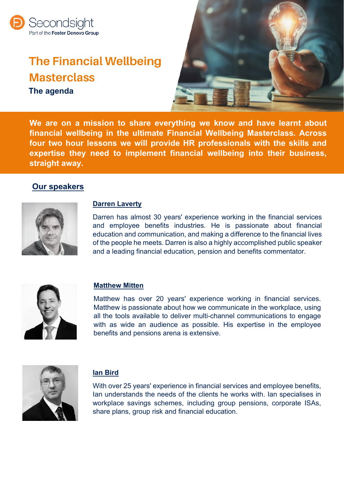

# **The Financial Wellbeing Masterclass The agenda**



**We are on a mission to share everything we know and have learnt about financial wellbeing in the ultimate Financial Wellbeing Masterclass. Across four two hour lessons we will provide HR professionals with the skills and expertise they need to implement financial wellbeing into their business, straight away.**

#### **Our speakers**



#### **Darren Laverty**

Darren has almost 30 years' experience working in the financial services and employee benefits industries. He is passionate about financial education and communication, and making a difference to the financial lives of the people he meets. Darren is also a highly accomplished public speaker and a leading financial education, pension and benefits commentator.



#### **Matthew Mitten**

Matthew has over 20 years' experience working in financial services. Matthew is passionate about how we communicate in the workplace, using all the tools available to deliver multi-channel communications to engage with as wide an audience as possible. His expertise in the employee benefits and pensions arena is extensive.



#### **Ian Bird**

With over 25 years' experience in financial services and employee benefits, Ian understands the needs of the clients he works with. Ian specialises in workplace savings schemes, including group pensions, corporate ISAs, share plans, group risk and financial education.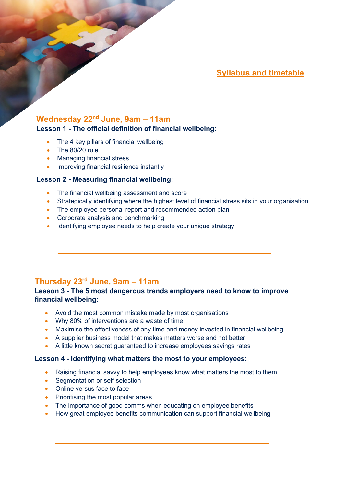**Syllabus and timetable**

# **Wednesday 22nd June, 9am – 11am**

#### **Lesson 1 - The official definition of financial wellbeing:**

- The 4 key pillars of financial wellbeing
- The 80/20 rule
- Managing financial stress
- Improving financial resilience instantly

#### **Lesson 2 - Measuring financial wellbeing:**

- The financial wellbeing assessment and score
- Strategically identifying where the highest level of financial stress sits in your organisation
- The employee personal report and recommended action plan
- Corporate analysis and benchmarking
- Identifying employee needs to help create your unique strategy

## **Thursday 23rd June, 9am – 11am**

#### **Lesson 3 - The 5 most dangerous trends employers need to know to improve financial wellbeing:**

- Avoid the most common mistake made by most organisations
- Why 80% of interventions are a waste of time
- Maximise the effectiveness of any time and money invested in financial wellbeing
- A supplier business model that makes matters worse and not better
- A little known secret guaranteed to increase employees savings rates

#### **Lesson 4 - Identifying what matters the most to your employees:**

- Raising financial savvy to help employees know what matters the most to them
- Segmentation or self-selection
- Online versus face to face
- Prioritising the most popular areas
- The importance of good comms when educating on employee benefits
- How great employee benefits communication can support financial wellbeing